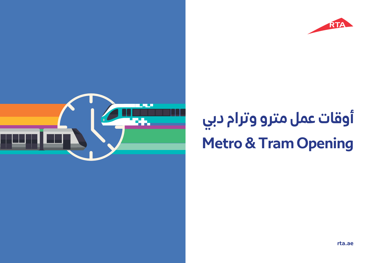



**أوقات عمل مترو وترام دبي Metro & Tram Opening**

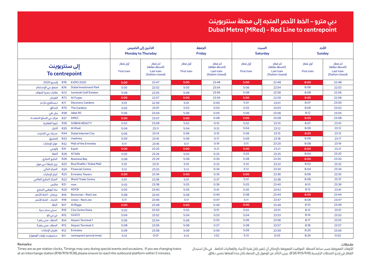## **Dubai Metro (MRed) - Red Line to centrepoint دبي مترو – الخط الأحمر المتجه إلى محطة سنتربوينت**

|                         |            |                                 |                                | الاثنين إلى الخميس<br><b>Monday to Thursday</b>              |                                | الجمعة<br><b>Friday</b>                                      | السبت<br><b>Saturday</b>       |                                                              | الأحد<br><b>Sunday</b>         |                                                              |
|-------------------------|------------|---------------------------------|--------------------------------|--------------------------------------------------------------|--------------------------------|--------------------------------------------------------------|--------------------------------|--------------------------------------------------------------|--------------------------------|--------------------------------------------------------------|
|                         |            | إلى سنتربوينت<br>To centrepoint | آول قطار<br><b>First train</b> | آخر قطار<br>(المحطة مغلقة)<br>Last train<br>(Station closed) | آول قطار<br><b>First train</b> | آخر قطار<br>(المحطة مغلقة)<br>Last train<br>(Station closed) | أول قطار<br><b>First train</b> | آخر قطار<br>(المحطة مغلقة)<br>Last train<br>(Station closed) | أول قطار<br><b>First train</b> | آخر قطار<br>(المحطة مغلقة)<br>Last train<br>(Station closed) |
| إكسبو 2020              | <b>R76</b> | <b>EXPO 2020</b>                | 5:00                           | 22:47                                                        | 5:00                           | 23:48                                                        | 5:00                           | 22:48                                                        | 8:00                           | 22:48                                                        |
| مجمع دبي للإستثمار      | <b>R74</b> | <b>Dubai Investment Park</b>    | 5:05                           | 22:52                                                        | 5:05                           | 23:54                                                        | 5:06                           | 22:54                                                        | 8:06                           | 22:53                                                        |
| عقارات جميرا للجولف     | <b>R73</b> | <b>Jumeirah Golf Estates</b>    | 5:08                           | 22:55                                                        | 5:08                           | 23:56                                                        | 5:08                           | 22:56                                                        | 8:08                           | 22:56                                                        |
| الفرجان                 | <b>R72</b> | <b>Al Furjan</b>                | 5:00                           | 22:57                                                        | 5:00                           | 23:59                                                        | 5:00                           | 22:59                                                        | 8:05                           | 22:58                                                        |
| دیسکفری جاردنز          | <b>R71</b> | <b>Discovery Gardens</b>        | 5:01                           | 22:59                                                        | 5:01                           | 0:00                                                         | 5:01                           | 23:01                                                        | 8:07                           | 23:00                                                        |
| الحدائق                 | <b>R70</b> | <b>The Gardens</b>              | 5:03                           | 23:01                                                        | 5:03                           | 0:03                                                         | 5:03                           | 23:03                                                        | 8:09                           | 23:02                                                        |
| جبل على                 | <b>R38</b> | <b>Jabal Ali</b>                | 5:06                           | 23:04                                                        | 5:06                           | 0:05                                                         | 5:06                           | 23:06                                                        | 8:12                           | 23:05                                                        |
| مركز دبى للسلع المتعددة | <b>R37</b> | <b>DMCC</b>                     | 5:00                           | 23:07                                                        | 5:00                           | 0:08                                                         | 5:00                           | 23:08                                                        | 8:05                           | 23:08                                                        |
| شوبا العقارية           | <b>R36</b> | <b>SOBHA REALTY</b>             | 5:02                           | 23:09                                                        | 5:02                           | 0:10                                                         | 5:02                           | 23:10                                                        | 8:07                           | 23:10                                                        |
| الخيل                   | <b>R35</b> | <b>Al Khail</b>                 | 5:04                           | 23:11                                                        | 5:04                           | 0:12                                                         | 5:04                           | 23:12                                                        | 8:09                           | 23:12                                                        |
| مدينة دبي للانترنت      | <b>R34</b> | <b>Dubai Internet City</b>      | 5:06                           | 23:14                                                        | 5:06                           | 0:15                                                         | 5:06                           | 23:15                                                        | 8:03                           | 23:15                                                        |
| المشرق                  | <b>R33</b> | mashreq                         | 5:09                           | 23:16                                                        | 5:09                           | O:17                                                         | 5:09                           | 23:18                                                        | 8:06                           | 23:17                                                        |
| مول الإمارات            | <b>R32</b> | <b>Mall of the Emirates</b>     | 5:11                           | 23:18                                                        | 5:11                           | O:19                                                         | 5:11                           | 23:20                                                        | 8:08                           | 23:19                                                        |
| إكويتي                  | <b>R31</b> | Equiti                          | 5:00                           | 23:20                                                        | 5:00                           | 0:21                                                         | 5:00                           | 23:21                                                        | 8:00                           | 23:21                                                        |
| الصفا                   | <b>R29</b> | Al Safa                         | 5:03                           | 23:24                                                        | 5:03                           | 0:25                                                         | 5:03                           | 23:25                                                        | 8:04                           | 23:25                                                        |
| الخليج التجارى          | <b>R26</b> | <b>Business Bay</b>             | 5:08                           | 23:29                                                        | 5:08                           | 0:30                                                         | 5:08                           | 23:30                                                        | 8:00                           | 23:30                                                        |
| برج خليفة/دبي مول       | <b>R25</b> | Burj Khalifa / Dubai Mall       | 5:10                           | 23:31                                                        | 5:10                           | 0:32                                                         | 5:10                           | 23:32                                                        | 8:02                           | 23:32                                                        |
| المركز المالى           | <b>R24</b> | <b>Financial Centre</b>         | 5:12                           | 23:33                                                        | 5:12                           | 0:34                                                         | 5:12                           | 23:34                                                        | 8:04                           | 23:34                                                        |
| أبراج الإمارات          | <b>R23</b> | <b>Emirates Towers</b>          | 5:00                           | 23:34                                                        | 5:00                           | 0:35                                                         | 5:00                           | 23:36                                                        | 8:06                           | 23:35                                                        |
| المركز التجارى العالمي  | <b>R22</b> | <b>World Trade Centre</b>       | 5:01                           | 23:36                                                        | 5:01                           | 0:37                                                         | 5:01                           | 23:38                                                        | 8:08                           | 23:37                                                        |
| R21 max ماكس            |            |                                 | 5:03                           | 23:38                                                        | 5:03                           | 0:39                                                         | 5:03                           | 23:40                                                        | 8:10                           | 23:39                                                        |
| بنك أبوظبي التجاري      |            | R <sub>20</sub> ADCB            | 5:05                           | 23:40                                                        | 5:05                           | 0:41                                                         | 5:05                           | 23:42                                                        | 8:12                           | 23:41                                                        |
| برجمان - الخط الأحمر    | <b>R19</b> | <b>BurJuman - Red Line</b>      | 5:08                           | 23:43                                                        | 5:08                           | 0:44                                                         | 5:08                           | 23:44                                                        | 8:05                           | 23:44                                                        |
| الاتحاد - الخط الأحمر   | <b>R18</b> | Union - Red Line                | 5:11                           | 23:46                                                        | 5:11                           | 0:47                                                         | 5:11                           | 23:47                                                        | 8:08                           | 23:47                                                        |
| الرقة                   | <b>R17</b> | Al Rigga                        | 5:00                           | 23:48                                                        | 5:00                           | 0:49                                                         | 5:00                           | 23:49                                                        | 8:10                           | 23:49                                                        |
| سیتی سنتر دیرة          | <b>R16</b> | <b>City Centre Deira</b>        | 5:02                           | 23:50                                                        | 5:02                           | 0:51                                                         | 5:02                           | 23:51                                                        | 8:12                           | 23:51                                                        |
| جي جي کو                | <b>R15</b> | <b>GGICO</b>                    | 5:04                           | 23:52                                                        | 5:04                           | 0:53                                                         | 5:04                           | 23:53                                                        | 8:14                           | 23:53                                                        |
| المطار - مبنى رقم 1     | <b>R14</b> | <b>Airport Terminal 1</b>       | 5:06                           | 23:54                                                        | 5:06                           | 0:55                                                         | 5:06                           | 23:56                                                        | 8:17                           | 23:55                                                        |
| المطار - مبنى رقم 3     | <b>R13</b> | <b>Airport Terminal 3</b>       | 5:08                           | 23:56                                                        | 5:08                           | 0:57                                                         | 5:08                           | 23:57                                                        | 8:18                           | 23:57                                                        |
| طيران الإمارات          | <b>R12</b> | <b>Emirates</b>                 | 5:09                           | 23:58                                                        | 5:09                           | 0:59                                                         | 5:09                           | 23:59                                                        | 8:20                           | 23:59                                                        |
| سنتربوينت (وقت الوصول)  | <b>R11</b> | centrepoint (arrival time)      | 5:13                           | 0:01                                                         | 5:13                           | 1:02                                                         | 5:13                           | 0:03                                                         | 8:24                           | 0:02                                                         |

#### **Remarks:**

Times are as per station clocks. Timings may vary during special events and occasions. If you are changing trains at an interchange station (R18/R19/R38) please ensure to reach the outbound platform within 5 minutes.

**ملاحظات:**

الأوقات المعروضة حسب ساعة المحطة. المواقيت المعروضة بالإمكان أن تتغير خلال فترة الأعياد والفعاليات الخاصة. في حال استبدال القطار في إحدى المحطات الرئيسية (18R19/R38/R(، يرجى التأكد من الوصول إلى المنصة خلال مدة أقصاها خمس دقائق.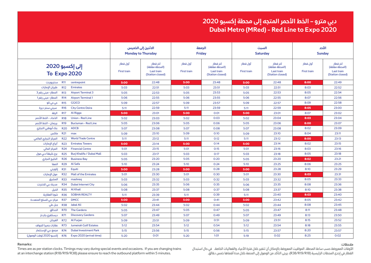## **Dubai Metro (MRed) - Red Line to Expo 2020 دبي مترو – الخط الأحمر المتجه إلى محطة إكسبو ٢٠٢٠**

|                                                      |            |                                              | <b>Monday to Thursday</b>      | الاثنين إلى الخميس                                           | الجمعة<br><b>Friday</b>        |                                                              | السبت<br><b>Saturday</b>       |                                                              | الأحد<br><b>Sunday</b>         |                                                              |
|------------------------------------------------------|------------|----------------------------------------------|--------------------------------|--------------------------------------------------------------|--------------------------------|--------------------------------------------------------------|--------------------------------|--------------------------------------------------------------|--------------------------------|--------------------------------------------------------------|
| إلى إكسبو 2020<br>To Expo 2020                       |            |                                              | أول قطار<br><b>First train</b> | آخر قطار<br>(المحطة مغلقة)<br>Last train<br>(Station closed) | أول قطار<br><b>First train</b> | آخر قطار<br>(المحطة مغلقة)<br>Last train<br>(Station closed) | أول قطار<br><b>First train</b> | آخر قطار<br>(المحطة مغلقة)<br>Last train<br>(Station closed) | أول قطار<br><b>First train</b> | آخر قطار<br>(المحطة مغلقة)<br>Last train<br>(Station closed) |
| سنتربوينت                                            | <b>R11</b> | centrepoint                                  | 5:00                           | 22:48                                                        | 5:00                           | 23:48                                                        | 5:00                           | 22:48                                                        | 8:00                           | 22:49                                                        |
| طيران الإمارات                                       | <b>R12</b> | <b>Emirates</b>                              | 5:03                           | 22:51                                                        | 5:03                           | 23:51                                                        | 5:03                           | 22:51                                                        | 8:03                           | 22:52                                                        |
| المطار - مبنى رقم 3                                  | <b>R13</b> | <b>Airport Terminal 3</b>                    | 5:05                           | 22:53                                                        | 5:05                           | 23:53                                                        | 5:05                           | 22:53                                                        | 8:05                           | 22:54                                                        |
| المطار - مبنى رقم 1                                  | <b>R14</b> | <b>Airport Terminal 1</b>                    | 5:06                           | 22:55                                                        | 5:06                           | 23:55                                                        | 5:06                           | 22:55                                                        | 8:07                           | 22:56                                                        |
| جي جي کو                                             | <b>R15</b> | <b>GGICO</b>                                 | 5:09                           | 22:57                                                        | 5:09                           | 23:57                                                        | 5:09                           | 22:57                                                        | 8:09                           | 22:58                                                        |
| سیتی سنتر دیرة                                       | <b>R16</b> | <b>City Centre Deira</b>                     | 5:11                           | 22:59                                                        | 5:11                           | 23:59                                                        | 5:11                           | 22:59                                                        | 8:05                           | 23:00                                                        |
| الرقة                                                | <b>R17</b> | Al Rigga                                     | 5:00                           | 23:01                                                        | 5:00                           | 0:01                                                         | 5:00                           | 23:01                                                        | 8:07                           | 23:02                                                        |
| الاتحاد - الخط الأحمر                                | <b>R18</b> | <b>Union - Red Line</b>                      | 5:02                           | 23:03                                                        | 5:02                           | 0:03                                                         | 5:02                           | 23:04                                                        | 8:03                           | 23:04                                                        |
| برجمان - الخط الأحمر                                 | <b>R19</b> | <b>BurJuman - Red Line</b>                   | 5:05                           | 23:06                                                        | 5:05                           | 0:06                                                         | 5:05                           | 23:06                                                        | 8:00                           | 23:07                                                        |
| بنك أبوظبي التجاري                                   | <b>R20</b> | <b>ADCB</b>                                  | 5:07                           | 23:08                                                        | 5:07                           | 0:08                                                         | 5:07                           | 23:08                                                        | 8:02                           | 23:09                                                        |
| ماكس                                                 | <b>R21</b> | max                                          | 5:09                           | 23:10                                                        | 5:09                           | 0:10                                                         | 5:09                           | 23:10                                                        | 8:04                           | 23:11                                                        |
| المركز التجارى العالمي                               | <b>R22</b> | <b>World Trade Centre</b>                    | 5:11                           | 23:12                                                        | 5:11                           | 0:12                                                         | 5:11                           | 23:12                                                        | 8:00                           | 23:13                                                        |
| أبراج الإمارات                                       | <b>R23</b> | <b>Emirates Towers</b>                       | 5:00                           | 23:14                                                        | 5:00                           | 0:14                                                         | 5:00                           | 23:14                                                        | 8:02                           | 23:15                                                        |
| المركز المالى                                        | <b>R24</b> | <b>Financial Centre</b>                      | 5:01                           | 23:15                                                        | 5:01                           | 0:15                                                         | 5:01                           | 23:16                                                        | 8:03                           | 23:16                                                        |
| برج خليفة/دبي مول                                    | <b>R25</b> | Burj Khalifa / Dubai Mall                    | 5:03                           | 23:17                                                        | 5:03                           | 0:17                                                         | 5:03                           | 23:18                                                        | 8:05                           | 23:18                                                        |
| الخليج التجارى                                       | <b>R26</b> | <b>Business Bay</b>                          | 5:05                           | 23:20                                                        | 5:05                           | 0:20                                                         | 5:05                           | 23:20                                                        | 8:02                           | 23:21                                                        |
| الصفا                                                | <b>R29</b> | Al Safa                                      | 5:10                           | 23:24                                                        | 5:10                           | 0:24                                                         | 5:10                           | 23:25                                                        | 8:06                           | 23:25                                                        |
| إكويتي                                               | <b>R31</b> | Equiti                                       | 5:00                           | 23:28                                                        | 5:00                           | 0:28                                                         | 5:00                           | 23:28                                                        | 8:10                           | 23:29                                                        |
| مول الإمارات                                         | <b>R32</b> | <b>Mall of the Emirates</b>                  | 5:01                           | 23:30                                                        | 5:01                           | 0:30                                                         | 5:01                           | 23:30                                                        | 8:03                           | 23:31                                                        |
| المشرق                                               | <b>R33</b> | mashreq                                      | 5:03                           | 23:32                                                        | 5:03                           | 0:32                                                         | 5:03                           | 23:32                                                        | 8:05                           | 23:33                                                        |
|                                                      |            | R34 Dubai Internet City مدينة دبي للانترنت   | 5:06                           | 23:35                                                        | 5:06                           | 0:35                                                         | 5:06                           | 23:35                                                        | 8:08                           | 23:36                                                        |
|                                                      |            | R35 Al Khail                                 | 5:08                           | 23:37                                                        | 5:08                           | 0:37                                                         | 5:08                           | 23:37                                                        | 8:10                           | 23:38                                                        |
|                                                      |            | R36 SOBHA REALTY شوبا العقارية               | 5:11                           | 23:39                                                        | 5:11                           | 0:39                                                         | 5:11                           | 23:40                                                        | 8:03                           | 23:40                                                        |
|                                                      |            |                                              | 5:00                           | 23:41                                                        | 5:00                           | 0:41                                                         | 5:00                           | 23:42                                                        | 8:05                           | 23:42                                                        |
|                                                      |            | R38 Jabal Ali جبل على                        | 5:02                           | 23:44                                                        | 5:02                           | 0:44                                                         | 5:02                           | 23:44                                                        | 8:08                           | 23:45                                                        |
|                                                      |            | R70 The Gardens                              | 5:05                           | 23:47                                                        | 5:05                           | 0:47                                                         | 5:05                           | 23:47                                                        | 8:11                           | 23:48                                                        |
| R71 دیسکفری جاردنز                                   |            | <b>Discovery Gardens</b>                     | 5:07                           | 23:49                                                        | 5:07                           | 0:49                                                         | 5:07                           | 23:49                                                        | 8:13                           | 23:50                                                        |
|                                                      |            | الفرجان R72 Al Furjan                        | 5:09                           | 23:51                                                        | 5:09                           | 0:51                                                         | 5:09                           | 23:51                                                        | 8:15                           | 23:52                                                        |
|                                                      |            | Jumeirah Golf Estates عقارات جميرا للجولف    | 5:12                           | 23:54                                                        | 5:12                           | 0:54                                                         | 5:12                           | 23:54                                                        | 8:18                           | 23:55                                                        |
|                                                      |            | مجمع دبي للإستثمار R74 Dubai Investment Park | 5:15                           | 23:56                                                        | 5:15                           | 0:56                                                         | 5:15                           | 23:57                                                        | 8:20                           | 23:57                                                        |
| R76 Expo 2020 (arrival time) إكسبو 2020 (وقت الوصول) |            |                                              | 5:20                           | 0:01                                                         | 5:20                           | 1:01                                                         | 5:19                           | 0:02                                                         | 8:25                           | 0:02                                                         |
|                                                      |            |                                              |                                |                                                              |                                |                                                              |                                |                                                              |                                |                                                              |

#### **Remarks:**

Times are as per station clocks. Timings may vary during special events and occasions. If you are changing trains at an interchange station (R18/R19/R38) please ensure to reach the outbound platform within 5 minutes.

**ملاحظات:**

الأوقات المعروضة حسب ساعة المحطة. المواقيت المعروضة بالإمكان أن تتغير خلال فترة الأعياد والفعاليات الخاصة. في حال استبدال القطار في إحدى المحطات الرئيسية (18R19/R38/R(، يرجى التأكد من الوصول إلى المنصة خلال مدة أقصاها خمس دقائق.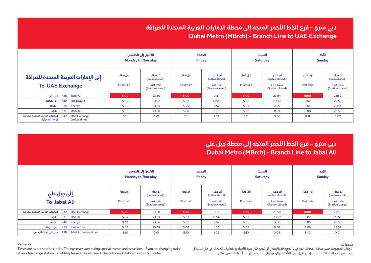# **Dubai Metro (MBrch) - Branch Line to UAE Exchange دبي مترو – فرع الخط الأحمر المتجه إلى محطة الإمارات العربية المتحدة للصرافة**

|                                                                                                     |                         | الاثنين إلى الخميس<br><b>Monday to Thursday</b>              |                         | الحمعة<br><b>Friday</b>                                      |                                | السبت<br><b>Saturday</b>                                     |                                | الأحد<br><b>Sunday</b>                                       |
|-----------------------------------------------------------------------------------------------------|-------------------------|--------------------------------------------------------------|-------------------------|--------------------------------------------------------------|--------------------------------|--------------------------------------------------------------|--------------------------------|--------------------------------------------------------------|
| إلى الإمارات العربية المتحدة للصرافة<br><b>To UAE Exchange</b>                                      | أول قطار<br>First train | آخر قطار<br>(المحطة مغلقة)<br>Last train<br>(Station closed) | أول قطار<br>First train | آخر قطار<br>(المحطة مغلقة)<br>Last train<br>(Station closed) | أول قطار<br><b>First train</b> | آخر قطار<br>(المحطة مغلقة)<br>Last train<br>(Station closed) | أول قطار<br><b>First train</b> | آخر قطار<br>(المحطة مغلقة)<br>Last train<br>(Station closed) |
| R38 Jabal Ali جبل على                                                                               | 5:00                    | 23:50                                                        | 5:00                    | 0:51                                                         | 5:00                           | 23:54                                                        | 8:00                           | 23:50                                                        |
| R39 Ibn Battuta<br>ابن بطوطة                                                                        | 5:02                    | 23:52                                                        | 5:02                    | 0:54                                                         | 5:02                           | 23:57                                                        | 8:02                           | 23:53                                                        |
| الطاقة<br>R40 Energy                                                                                | 5:05                    | 23:55                                                        | 5:05                    | 0:57                                                         | 5:05                           | 0:00                                                         | 8:05                           | 23:56                                                        |
| دانوب<br>R41<br>Danube                                                                              | 5:08                    | 23:58                                                        | 5:08                    | 1:00                                                         | 5:08                           | 0:03                                                         | 8:08                           | 23:59                                                        |
| R42       الإمارات العربية المتحدة للصرافة<br><b>UAE Exchange</b><br>(وقت الوصول)<br>(arrival time) | 5:11                    | O:O1                                                         | 5:11                    | 1:03                                                         | 5:11                           | 0:06                                                         | 8:11                           | 0:02                                                         |

#### **Remarks:**

Times are as per station clocks. Timings may vary during special events and occasions. If you are changing trains at an interchange station (Jabal Ali) please ensure to reach the outbound platform within 5 minutes.

#### **ملاحظات:**

الأوقات المعروضة حسب ساعة المحطة. المواقيت المعروضة بالإمكان أن تتغير خلال فترة الأعياد والفعاليات الخاصة. في حال استبدال القطار في إحدى المحطات الرئيسية (جبل علي)، يرجى التأكد من الوصول إلى المنصة خلال مدة أقصاها خمس دقائق.

**Dubai Metro (MBrch) - Branch Line to Jabal Ali دبي مترو – فرع الخط الأحمر المتجه إلى محطة جبل علي**

|                                                                |                         | الاثنين إلى الخميس<br><b>Monday to Thursday</b>              |                         | الجمعة<br><b>Friday</b>                                      |                                | السبت<br><b>Saturday</b>                                     |                                | الأحد<br><b>Sunday</b>                                       |
|----------------------------------------------------------------|-------------------------|--------------------------------------------------------------|-------------------------|--------------------------------------------------------------|--------------------------------|--------------------------------------------------------------|--------------------------------|--------------------------------------------------------------|
| إلى جبل علي<br>To Jabal Ali                                    | أول قطار<br>First train | آخر قطار<br>(المحطة مغلقة)<br>Last train<br>(Station closed) | أول قطار<br>First train | آخر قطار<br>(المحطة مغلقة)<br>Last train<br>(Station closed) | أول قطار<br><b>First train</b> | آخر قطار<br>(المحطة مغلقة)<br>Last train<br>(Station closed) | أول قطار<br><b>First train</b> | آخر قطار<br>(المحطة مغلقة)<br>Last train<br>(Station closed) |
| الإمارات العربية المتحدة للصرافة<br>R42 UAE Exchange           | 5:00                    | 23:50                                                        | 5:00                    | 0:51                                                         | 5:00                           | 23:54                                                        | 8:00                           | 23:50                                                        |
| دانوب<br><b>R41</b><br>Danube                                  | 5:02                    | 23:53                                                        | 5:02                    | 0:54                                                         | 5:02                           | 23:57                                                        | 8:02                           | 23:53                                                        |
| الطاقة<br>R40 Energy                                           | 5:05                    | 23:56                                                        | 5:05                    | 0:57                                                         | 5:05                           | 0:00                                                         | 8:05                           | 23:56                                                        |
| ابن بطوطة<br><b>R39</b><br>Ibn Battuta                         | 5:08                    | 23:59                                                        | 5:08                    | 1:00                                                         | 5:08                           | 0:03                                                         | 8:08                           | 23:59                                                        |
| جبل على (وقت الوصول)<br><b>R38</b><br>Jabal Ali (arrival time) | 5:10                    | O:O1                                                         | 5:10                    | 1:02                                                         | 5:10                           | 0:05                                                         | 8:10                           | O:O1                                                         |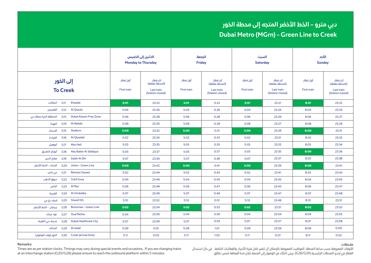# **Dubai Metro (MGrn) - Green Line to Creek دبي مترو – الخط الأخضر المتجه إلى محطة الخور**

|                              |                 |                                                |                                                              | الاثنين إلى الخميس<br><b>Monday to Thursday</b> | الجمعة<br><b>Friday</b>                                      |                         | السبت<br><b>Saturday</b>                                     |                                | الأحد<br><b>Sunday</b>                                       |       |
|------------------------------|-----------------|------------------------------------------------|--------------------------------------------------------------|-------------------------------------------------|--------------------------------------------------------------|-------------------------|--------------------------------------------------------------|--------------------------------|--------------------------------------------------------------|-------|
| إلى الخور<br><b>To Creek</b> |                 | أول قطار<br>First train                        | آخر قطار<br>(المحطة مغلقة)<br>Last train<br>(Station closed) | أول قطار<br>First train                         | آخر قطار<br>(المحطة مغلقة)<br>Last train<br>(Station closed) | أول قطار<br>First train | آخر قطار<br>(المحطة مغلقة)<br>Last train<br>(Station closed) | أول قطار<br><b>First train</b> | آخر قطار<br>(المحطة مغلقة)<br>Last train<br>(Station closed) |       |
| اتصالات                      | G11             | Etisalat                                       | 5:01                                                         | 23:23                                           | 5:01                                                         | 0:23                    | 5:01                                                         | 23:21                          | 8:01                                                         | 23:22 |
| القصيص                       | G12             | <b>Al Qusais</b>                               | 5:04                                                         | 23:26                                           | 5:04                                                         | 0:26                    | 5:04                                                         | 23:24                          | 8:04                                                         | 23:25 |
| المنطقة الحرة بمطار دبى      | G13             | <b>Dubai Airport Free Zone</b>                 | 5:06                                                         | 23:28                                           | 5:06                                                         | 0:28                    | 5:06                                                         | 23:26                          | 8:06                                                         | 23:27 |
| النهدة                       | G14             | <b>Al Nahda</b>                                | 5:08                                                         | 23:30                                           | 5:08                                                         | 0:29                    | 5:08                                                         | 23:27                          | 8:08                                                         | 23:29 |
| الاستاد                      | G15             | Stadium                                        | 5:00                                                         | 23:32                                           | 5:00                                                         | 0:31                    | 5:00                                                         | 23:29                          | 8:00                                                         | 23:31 |
| القيادة                      | G16             | Al Qiyadah                                     | 5:02                                                         | 23:34                                           | 5:02                                                         | 0:33                    | 5:02                                                         | 23:31                          | 8:02                                                         | 23:33 |
| أبوهيل                       | G17             | <b>Abu Hail</b>                                | 5:03                                                         | 23:35                                           | 5:03                                                         | 0:35                    | 5:03                                                         | 23:33                          | 8:03                                                         | 23:34 |
| أبوبكر الصديق                | G18             | Abu Baker Al Siddique                          | 5:05                                                         | 23:37                                           | 5:05                                                         | 0:37                    | 5:05                                                         | 23:35                          | 8:00                                                         | 23:36 |
| صلاح الدين                   | G19             | Salah Al Din                                   | 5:07                                                         | 23:39                                           | 5:07                                                         | 0:39                    | 5:07                                                         | 23:37                          | 8:02                                                         | 23:38 |
| الاتحاد - الخط الأخضر        | G <sub>20</sub> | <b>Union - Green Line</b>                      | 5:00                                                         | 23:42                                           | 5:00                                                         | 0:41                    | 5:00                                                         | 23:39                          | 8:00                                                         | 23:41 |
| بنی یاس                      | G <sub>21</sub> | <b>Baniyas Square</b>                          | 5:02                                                         | 23:44                                           | 5:02                                                         | 0:43                    | 5:02                                                         | 23:41                          | 8:02                                                         | 23:43 |
| سوق الذهب                    | G <sub>22</sub> | <b>Gold Soug</b>                               | 5:04                                                         | 23:46                                           | 5:04                                                         | 0:45                    | 5:04                                                         | 23:43                          | 8:04                                                         | 23:45 |
| الراس                        |                 | G23 Al Ras                                     | 5:06                                                         | 23:48                                           | 5:06                                                         | 0:47                    | 5:06                                                         | 23:45                          | 8:06                                                         | 23:47 |
| الغبيبة                      |                 | G24 Al Ghubaiba                                | 5:07                                                         | 23:49                                           | 5:07                                                         | 0:49                    | 5:07                                                         | 23:47                          | 8:07                                                         | 23:48 |
|                              |                 | G25     Sharaf DG     شرف دي جي                | 5:10                                                         | 23:52                                           | 5:10                                                         | 0:51                    | 5:10                                                         | 23:49                          | 8:10                                                         | 23:51 |
|                              |                 | G26 BurJuman - Green Line برجمان - الخط الأخضر | 5:02                                                         | 23:54                                           | 5:02                                                         | 0:53                    | 5:02                                                         | 23:51                          | 8:02                                                         | 23:53 |
|                              |                 | G27 Oud Metha عود ميثاء                        | 5:04                                                         | 23:56                                           | 5:04                                                         | 0:56                    | 5:04                                                         | 23:54                          | 8:04                                                         | 23:55 |
| مدينة دبي الطبية             |                 | G28 Dubai Healthcare City                      | 5:07                                                         | 23:59                                           | 5:07                                                         | 0:59                    | 5:07                                                         | 23:57                          | 8:07                                                         | 23:58 |
|                              |                 | G29 Al Jadaf الجداف                            | 5:09                                                         | 0:01                                            | 5:09                                                         | 1:01                    | 5:09                                                         | 23:59                          | 8:09                                                         | 0:00  |
|                              |                 | G30 Creek (arrival time) الخور (وقت الوصول)    | 5:11                                                         | 0:03                                            | 5:11                                                         | 1:03                    | 5:11                                                         | O:O1                           | 8:11                                                         | 0:02  |

#### **Remarks:**

Times are as per station clocks. Timings may vary during special events and occasions. If you are changing trains at an interchange station (G20/G26) please ensure to reach the outbound platform within 5 minutes.

**ملاحظات:**

الأوقات المعروضة حسب ساعة المحطة. المواقيت المعروضة بالإمكان أن تتغير خلال فترة الأعياد والفعاليات الخاصة. في حال استبدال القطار في إحدى المحطات الرئيسية (20G26/G(، يرجى التأكد من الوصول إلى المنصة خلال مدة أقصاها خمس دقائق.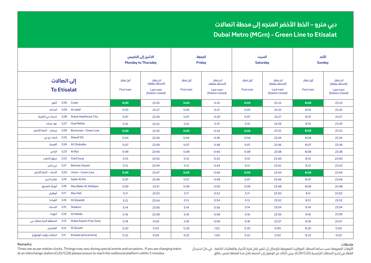|                         |                 |                                                   |                         | الاثنين إلى الخميس<br><b>Monday to Thursday</b>              |                         | الجمعة<br><b>Friday</b>                                      | السبت<br><b>Saturday</b>       |                                                              | الأحد<br><b>Sunday</b>         |                                                              |
|-------------------------|-----------------|---------------------------------------------------|-------------------------|--------------------------------------------------------------|-------------------------|--------------------------------------------------------------|--------------------------------|--------------------------------------------------------------|--------------------------------|--------------------------------------------------------------|
|                         | إلى اتصالات     | <b>To Etisalat</b>                                | أول قطار<br>First train | آخر قطار<br>(المحطة مغلقة)<br>Last train<br>(Station closed) | أول قطار<br>First train | آخر قطار<br>(المحطة مغلقة)<br>Last train<br>(Station closed) | أول قطار<br><b>First train</b> | آخر قطار<br>(المحطة مغلقة)<br>Last train<br>(Station closed) | أول قطار<br><b>First train</b> | آخر قطار<br>(المحطة مغلقة)<br>Last train<br>(Station closed) |
| الخور                   |                 | G30 Creek                                         | 5:03                    | 23:25                                                        | 5:03                    | 0:25                                                         | 5:03                           | 23:23                                                        | 8:03                           | 23:23                                                        |
| الجداف                  | G <sub>29</sub> | Al Jadaf                                          | 5:05                    | 23:27                                                        | 5:05                    | 0:27                                                         | 5:05                           | 23:25                                                        | 8:05                           | 23:25                                                        |
| مدينة دبي الطبية        | G28             | <b>Dubai Healthcare City</b>                      | 5:07                    | 23:29                                                        | 5:07                    | 0:29                                                         | 5:07                           | 23:27                                                        | 8:07                           | 23:27                                                        |
| عود میثاء               | G <sub>27</sub> | Oud Metha                                         | 5:10                    | 23:32                                                        | 5:10                    | 0:31                                                         | 5:10                           | 23:29                                                        | 8:10                           | 23:29                                                        |
| برجمان - الخط الأخضر    | G <sub>26</sub> | <b>BurJuman - Green Line</b>                      | 5:03                    | 23:35                                                        | 5:03                    | 0:34                                                         | 5:03                           | 23:32                                                        | 8:03                           | 23:32                                                        |
| G25 Sharaf DG شرف دي جي |                 |                                                   | 5:04                    | 23:36                                                        | 5:04                    | 0:36                                                         | 5:04                           | 23:34                                                        | 8:04                           | 23:34                                                        |
| الفبيبة                 |                 | G24 Al Ghubaiba                                   | 5:07                    | 23:39                                                        | 5:07                    | 0:38                                                         | 5:07                           | 23:36                                                        | 8:07                           | 23:36                                                        |
| الراس                   |                 | G23 Al Ras                                        | 5:08                    | 23:40                                                        | 5:08                    | 0:40                                                         | 5:08                           | 23:38                                                        | 8:08                           | 23:38                                                        |
| سوق الذهب               | G <sub>22</sub> | <b>Gold Soug</b>                                  | 5:10                    | 23:42                                                        | 5:10                    | 0:42                                                         | 5:10                           | 23:40                                                        | 8:10                           | 23:40                                                        |
| بنى ياس                 | G <sub>21</sub> | <b>Baniyas Square</b>                             | 5:12                    | 23:44                                                        | 5:12                    | 0:44                                                         | 5:12                           | 23:42                                                        | 8:12                           | 23:42                                                        |
| الاتحاد - الخط الأخضر   | G20             | <b>Union - Green Line</b>                         | 5:05                    | 23:47                                                        | 5:05                    | 0:46                                                         | 5:05                           | 23:44                                                        | 8:05                           | 23:44                                                        |
| صلاح الدين              | G19             | Salah Al Din                                      | 5:07                    | 23:49                                                        | 5:07                    | 0:48                                                         | 5:07                           | 23:46                                                        | 8:07                           | 23:46                                                        |
| أبوبكر الصديق           |                 | G18 Abu Baker Al Siddique                         | 5:09                    | 23:51                                                        | 5:09                    | 0:50                                                         | 5:09                           | 23:48                                                        | 8:09                           | 23:48                                                        |
| أبوهيل                  |                 | G17 Abu Hail                                      | 5:11                    | 23:53                                                        | 5:11                    | 0:52                                                         | 5:11                           | 23:50                                                        | 8:11                           | 23:50                                                        |
| القيادة                 |                 | G16 Al Qiyadah                                    | 5:12                    | 23:54                                                        | 5:12                    | 0:54                                                         | 5:12                           | 23:52                                                        | 8:12                           | 23:52                                                        |
|                         |                 | G15 Stadium الاستاد                               | 5:14                    | 23:56                                                        | 5:14                    | 0:56                                                         | 5:14                           | 23:54                                                        | 8:14                           | 23:54                                                        |
|                         |                 | النهدة G14 Al Nahda                               | 5:16                    | 23:58                                                        | 5:16                    | 0:58                                                         | 5:16                           | 23:56                                                        | 8:16                           | 23:56                                                        |
| المنطقة الحرة بمطار دبى |                 | G13 Dubai Airport Free Zone                       | 5:18                    | 0:00                                                         | 5:18                    | 0:59                                                         | 5:18                           | 23:57                                                        | 8:18                           | 23:57                                                        |
|                         |                 | G12 Al Qusais القصيص                              | 5:20                    | 0:02                                                         | 5:20                    | 1:02                                                         | 5:20                           | 0:00                                                         | 8:20                           | 0:00                                                         |
|                         |                 | (G11 Etisalat (arrival time) اتصالات (وقت الوصول) | 5:22                    | 0:04                                                         | 5:22                    | 1:04                                                         | 5:22                           | 0:02                                                         | 8:22                           | 0:02                                                         |

#### **Remarks:**

Times are as per station clocks. Timings may vary during special events and occasions. If you are changing trains at an interchange station (G20/G26) please ensure to reach the outbound platform within 5 minutes.

**ملاحظات:**

الأوقات المعروضة حسب ساعة المحطة. المواقيت المعروضة بالإمكان أن تتغير خلال فترة الأعياد والفعاليات الخاصة. في حال استبدال القطار في إحدى المحطات الرئيسية (20G26/G(، يرجى التأكد من الوصول إلى المنصة خلال مدة أقصاها خمس دقائق.

# **Dubai Metro (MGrn) - Green Line to Etisalat دبي مترو – الخط الأخضر المتجه إلى محطة اتصالات**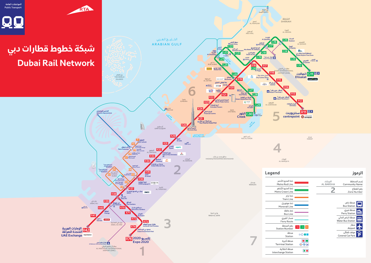

### الرموز

| إسم المنطقة<br><b>Community Name</b> | البرشاء<br><b>AL BARSHA</b> |
|--------------------------------------|-----------------------------|
| رقم القطاع<br>Zone Number            |                             |
|                                      |                             |
| aمحطة باص<br>Bus Station             |                             |
| محطة فيري<br>Ferry Station           |                             |

| محصه میری<br><b>Ferry Station</b>             |
|-----------------------------------------------|
| محطة الباص المائى<br><b>Water Bus Station</b> |
| مطار<br>Airport                               |
| موقف مُفطَّى<br><b>Covered Car Park</b>       |

| خط المترو الأد<br>tro Red Line: |                  |
|---------------------------------|------------------|
| خط المترو الأذ<br>o Green Line  |                  |
| خط تراح<br><b>Tram Line</b>     |                  |
| خط مونوريل<br>Ionorail Line     |                  |
| خط حافلة<br><b>Bus Line</b>     |                  |
| مسار الفيرى<br>Ferry Route      |                  |
| رقم المحطة<br>tion Number       | G12<br>R12<br>10 |
| محطة<br>Station                 |                  |
| محطة أخيرة<br>ninal Station     | I TIIL           |
| محطة انتقالىة                   |                  |

المواصلات العامة Public Transport



# شبكة خطوط قطارات دبي **Dubai Rail Network**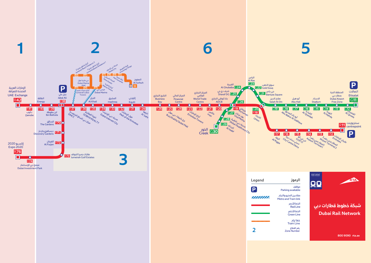

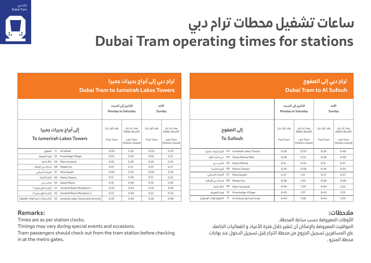# **Atlantis Aquaventure Remarks:**

Times are as per station clocks.

Timings may vary during special events and occasions.

Tram passengers should check out from the tram station before checking in at the metro gates.

### **ملاحظات:**

الأوقات المعروضة حسب ساعة المحطة. المواقيت المعروضة بالإمكان أن تتغير خلال فترة الأعياد و الفعاليات الخاصة. على المسافرين تسجيل الخروج من محطة الترام قبل تسجيل الدخول عند بوابات محطة المترو .

# **ساعات تشغيل محطات ترام دبي Dubai Tram operating times for stations**

| ترام دبي إلى أبراج بحيرات جميرا<br><b>Dubai Tram to Jumeirah Lakes Towers</b> |                            |                                                                 |                            |                                                                 |  |  |  |  |
|-------------------------------------------------------------------------------|----------------------------|-----------------------------------------------------------------|----------------------------|-----------------------------------------------------------------|--|--|--|--|
| الأحد<br>الاثنين إلى السبت<br><b>Monday to Saturday</b><br>Sunday             |                            |                                                                 |                            |                                                                 |  |  |  |  |
| إلى أبراج بحيرات جميرا<br><b>To Jumerirah Lakes Towers</b>                    | وقت أول ترام<br>First Tram | وقت آخر ترام<br>(المحطة مغلقة)<br>Last Tram<br>(Station closed) | وقت أول ترام<br>First Tram | وقت آخر ترام<br>(المحطة مغلقة)<br>Last Tram<br>(Station closed) |  |  |  |  |
| الصفوم 11 Al Sufouh                                                           | 6:00                       | 0:24                                                            | 9:00                       | 0:20                                                            |  |  |  |  |
| 10 قرية المعرفة<br>Knowledge Village                                          | 6:02                       | 0:26                                                            | 9:02                       | 0:22                                                            |  |  |  |  |
| 09 Palm Jumeirah                                                              | 6:05                       | 0:29                                                            | 9:05                       | 0:25                                                            |  |  |  |  |
| 08 Media City مدينة دبي للإعلام                                               | 6:07                       | 0:31                                                            | 9:07                       | 0:27                                                            |  |  |  |  |
| 07 Mina Seyahi                                                                | 6:09                       | 0:33                                                            | 9:09                       | 0:29                                                            |  |  |  |  |
| 06 Marina Towers أبراج المارينا                                               | 6:12                       | 0:36                                                            | 9:12                       | 0:32                                                            |  |  |  |  |
| 05 Dubai Marina                                                               | 6:16                       | 0:40                                                            | 9:16                       | 0:36                                                            |  |  |  |  |
| 1 أبراج شاطئ جميرا<br>1 O1 Jumeirah Beach Residence                           | 6:20                       | 0:44                                                            | 9:20                       | 0:40                                                            |  |  |  |  |
| 2 Jumeirah Beach Residence أبراج شاطئ جميراً                                  | 6:22                       | 0:46                                                            | 9:22                       | 0:42                                                            |  |  |  |  |
| (Jumeirah Lakes Towers (arrival time أبراج بحيرات جميرا (وقت الوصول)          | 6:26                       | 0:50                                                            | 9:26                       | 0:46                                                            |  |  |  |  |

|                                                    | <b>Dubai Tram to Al Sufouh</b>    |                                                                 |                            |                                                                 |  |  |
|----------------------------------------------------|-----------------------------------|-----------------------------------------------------------------|----------------------------|-----------------------------------------------------------------|--|--|
|                                                    |                                   | الاثنين إلى السبت<br><b>Monday to Saturday</b>                  | الأحد<br><b>Sunday</b>     |                                                                 |  |  |
| إلى الصفوح<br><b>To Sufouh</b>                     | وقت أول ترام<br><b>First Tram</b> | وقت آخر ترام<br>(المحطة مغلقة)<br>Last Tram<br>(Station closed) | وقت أول ترام<br>First Tram | وقت آخر ترام<br>(المحطة مغلقة)<br>Last Tram<br>(Station closed) |  |  |
| Jumeirah Lakes Towers أبراج بحيرات جميرا           | 6:26                              | 0:50                                                            | 9:26                       | 0:46                                                            |  |  |
| 04 Dubai Marina Mall دبی مارینا مول                | 6:28                              | 0:52                                                            | 9:28                       | 0:48                                                            |  |  |
| 05 Dubai Marina مرسی دبی                           | 6:31                              | 0:55                                                            | 9:31                       | 0:51                                                            |  |  |
| 06 Marina Towers أبراج المارينا                    | 6:34                              | 0:58                                                            | 9:34                       | 0:54                                                            |  |  |
| 07 الميناء السياحي<br>Mina Seyahi                  | 6:37                              | 1:01                                                            | 9:37                       | 0:57                                                            |  |  |
| 08 Media City مدينة دبي للإعلام                    | 6:38                              | 1:02                                                            | 9:38                       | 0:58                                                            |  |  |
| 09 نخلة جميرا<br>Palm Jumeirah                     | 6:40                              | 1:04                                                            | 9:40                       | 1:00                                                            |  |  |
| 10 قرية المعرفة<br>Knowledge Village               | 6:43                              | 1:07                                                            | 9:43                       | 1:03                                                            |  |  |
| 11 الصفوح (وقت الوصول)<br>Al Sufouh (arrival time) | 6:44                              | 1:08                                                            | 9:44                       | 1:04                                                            |  |  |
|                                                    |                                   |                                                                 |                            |                                                                 |  |  |



# **ترام دبي إلى الصفوح**